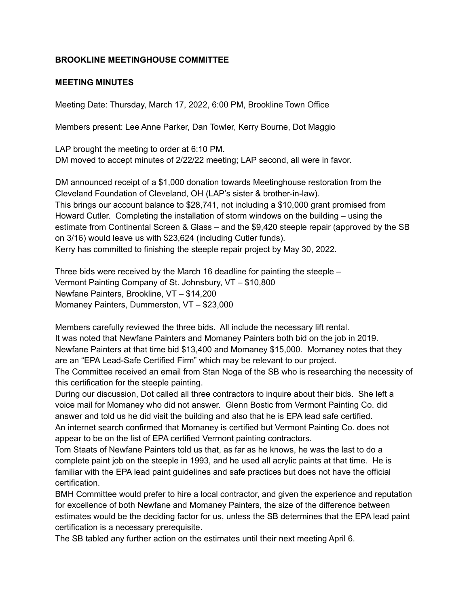## **BROOKLINE MEETINGHOUSE COMMITTEE**

## **MEETING MINUTES**

Meeting Date: Thursday, March 17, 2022, 6:00 PM, Brookline Town Office

Members present: Lee Anne Parker, Dan Towler, Kerry Bourne, Dot Maggio

LAP brought the meeting to order at 6:10 PM. DM moved to accept minutes of 2/22/22 meeting; LAP second, all were in favor.

DM announced receipt of a \$1,000 donation towards Meetinghouse restoration from the Cleveland Foundation of Cleveland, OH (LAP's sister & brother-in-law). This brings our account balance to \$28,741, not including a \$10,000 grant promised from Howard Cutler. Completing the installation of storm windows on the building – using the estimate from Continental Screen & Glass – and the \$9,420 steeple repair (approved by the SB on 3/16) would leave us with \$23,624 (including Cutler funds). Kerry has committed to finishing the steeple repair project by May 30, 2022.

Three bids were received by the March 16 deadline for painting the steeple – Vermont Painting Company of St. Johnsbury, VT – \$10,800 Newfane Painters, Brookline, VT – \$14,200 Momaney Painters, Dummerston, VT – \$23,000

Members carefully reviewed the three bids. All include the necessary lift rental. It was noted that Newfane Painters and Momaney Painters both bid on the job in 2019. Newfane Painters at that time bid \$13,400 and Momaney \$15,000. Momaney notes that they are an "EPA Lead-Safe Certified Firm" which may be relevant to our project.

The Committee received an email from Stan Noga of the SB who is researching the necessity of this certification for the steeple painting.

During our discussion, Dot called all three contractors to inquire about their bids. She left a voice mail for Momaney who did not answer. Glenn Bostic from Vermont Painting Co. did answer and told us he did visit the building and also that he is EPA lead safe certified. An internet search confirmed that Momaney is certified but Vermont Painting Co. does not appear to be on the list of EPA certified Vermont painting contractors.

Tom Staats of Newfane Painters told us that, as far as he knows, he was the last to do a complete paint job on the steeple in 1993, and he used all acrylic paints at that time. He is familiar with the EPA lead paint guidelines and safe practices but does not have the official certification.

BMH Committee would prefer to hire a local contractor, and given the experience and reputation for excellence of both Newfane and Momaney Painters, the size of the difference between estimates would be the deciding factor for us, unless the SB determines that the EPA lead paint certification is a necessary prerequisite.

The SB tabled any further action on the estimates until their next meeting April 6.